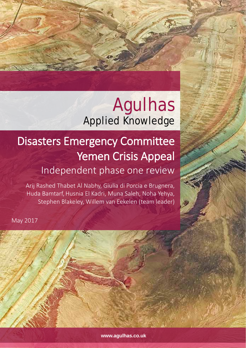# Agulhas Applied Knowledge

# Disasters Emergency Committee Yemen Crisis Appeal Independent phase one review

Arij Rashed Thabet Al Nabhy, Giulia di Porcia e Brugnera, Huda Bamtarf, Husnia El Kadri, Muna Saleh, Noha Yehya, Stephen Blakeley, Willem van Eekelen (team leader)

May 2017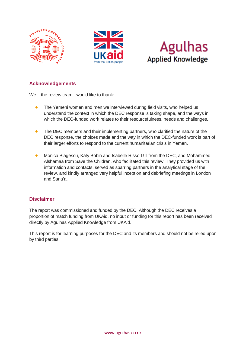





### **Acknowledgements**

We – the review team - would like to thank:

- The Yemeni women and men we interviewed during field visits, who helped us understand the context in which the DEC response is taking shape, and the ways in which the DEC-funded work relates to their resourcefulness, needs and challenges.
- The DEC members and their implementing partners, who clarified the nature of the DEC response, the choices made and the way in which the DEC-funded work is part of their larger efforts to respond to the current humanitarian crisis in Yemen.
- Monica Blagescu, Katy Bobin and Isabelle Risso-Gill from the DEC, and Mohammed Alshamaa from Save the Children, who facilitated this review. They provided us with information and contacts, served as sparring partners in the analytical stage of the review, and kindly arranged very helpful inception and debriefing meetings in London and Sana'a.

#### **Disclaimer**

The report was commissioned and funded by the DEC. Although the DEC receives a proportion of match funding from UKAid, no input or funding for this report has been received directly by Agulhas Applied Knowledge from UKAid.

This report is for learning purposes for the DEC and its members and should not be relied upon by third parties.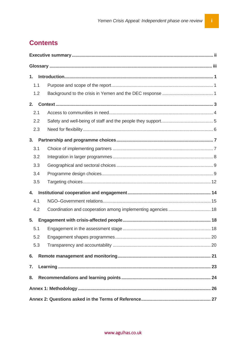# **Contents**

| 1.  |                                                              |  |  |  |  |
|-----|--------------------------------------------------------------|--|--|--|--|
| 1.1 |                                                              |  |  |  |  |
| 1.2 |                                                              |  |  |  |  |
| 2.  |                                                              |  |  |  |  |
| 2.1 |                                                              |  |  |  |  |
| 2.2 |                                                              |  |  |  |  |
| 2.3 |                                                              |  |  |  |  |
| 3.  |                                                              |  |  |  |  |
| 3.1 |                                                              |  |  |  |  |
| 3.2 |                                                              |  |  |  |  |
| 3.3 |                                                              |  |  |  |  |
| 3.4 |                                                              |  |  |  |  |
| 3.5 |                                                              |  |  |  |  |
| 4.  |                                                              |  |  |  |  |
| 4.1 |                                                              |  |  |  |  |
| 4.2 | Coordination and cooperation among implementing agencies  18 |  |  |  |  |
| 5.  |                                                              |  |  |  |  |
| 5.1 |                                                              |  |  |  |  |
| 5.2 |                                                              |  |  |  |  |
| 5.3 |                                                              |  |  |  |  |
| 6.  |                                                              |  |  |  |  |
| 7.  |                                                              |  |  |  |  |
| 8.  |                                                              |  |  |  |  |
|     |                                                              |  |  |  |  |
|     |                                                              |  |  |  |  |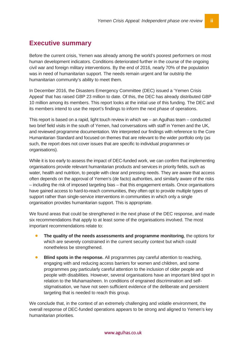# <span id="page-3-0"></span>**Executive summary**

Before the current crisis, Yemen was already among the world's poorest performers on most human development indicators. Conditions deteriorated further in the course of the ongoing civil war and foreign military interventions. By the end of 2016, nearly 70% of the population was in need of humanitarian support. The needs remain urgent and far outstrip the humanitarian community's ability to meet them.

In December 2016, the Disasters Emergency Committee (DEC) issued a 'Yemen Crisis Appeal' that has raised GBP 23 million to date. Of this, the DEC has already distributed GBP 10 million among its members. This report looks at the initial use of this funding. The DEC and its members intend to use the report's findings to inform the next phase of operations.

This report is based on a rapid, light touch review in which we – an Agulhas team – conducted two brief field visits in the south of Yemen, had conversations with staff in Yemen and the UK, and reviewed programme documentation. We interpreted our findings with reference to the Core Humanitarian Standard and focused on themes that are relevant to the wider portfolio only (as such, the report does not cover issues that are specific to individual programmes or organisations).

While it is too early to assess the impact of DEC-funded work, we can confirm that implementing organisations provide relevant humanitarian products and services in priority fields, such as water, health and nutrition, to people with clear and pressing needs. They are aware that access often depends on the approval of Yemen's (de facto) authorities, and similarly aware of the risks – including the risk of imposed targeting bias – that this engagement entails. Once organisations have gained access to hard-to-reach communities, they often opt to provide multiple types of support rather than single-service interventions in communities in which only a single organisation provides humanitarian support. This is appropriate.

We found areas that could be strengthened in the next phase of the DEC response, and made six recommendations that apply to at least some of the organisations involved. The most important recommendations relate to:

- **The quality of the needs assessments and programme monitoring**, the options for which are severely constrained in the current security context but which could nonetheless be strengthened.
- **Blind spots in the response.** All programmes pay careful attention to reaching, engaging with and reducing access barriers for women and children, and some programmes pay particularly careful attention to the inclusion of older people and people with disabilities. However, several organisations have an important blind spot in relation to the Muhamasheen. In conditions of engrained discrimination and selfstigmatisation, we have not seen sufficient evidence of the deliberate and persistent targeting that is needed to reach this group.

We conclude that, in the context of an extremely challenging and volatile environment, the overall response of DEC-funded operations appears to be strong and aligned to Yemen's key humanitarian priorities.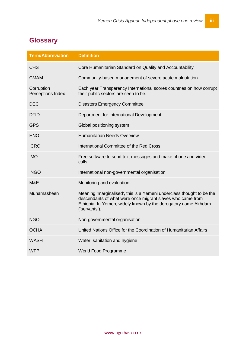# <span id="page-4-0"></span>**Glossary**

| <b>Term/Abbreviation</b>        | <b>Definition</b>                                                                                                                                                                                                      |
|---------------------------------|------------------------------------------------------------------------------------------------------------------------------------------------------------------------------------------------------------------------|
| <b>CHS</b>                      | Core Humanitarian Standard on Quality and Accountability                                                                                                                                                               |
| <b>CMAM</b>                     | Community-based management of severe acute malnutrition                                                                                                                                                                |
| Corruption<br>Perceptions Index | Each year Transparency International scores countries on how corrupt<br>their public sectors are seen to be.                                                                                                           |
| <b>DEC</b>                      | <b>Disasters Emergency Committee</b>                                                                                                                                                                                   |
| <b>DFID</b>                     | Department for International Development                                                                                                                                                                               |
| <b>GPS</b>                      | Global positioning system                                                                                                                                                                                              |
| <b>HNO</b>                      | <b>Humanitarian Needs Overview</b>                                                                                                                                                                                     |
| <b>ICRC</b>                     | International Committee of the Red Cross                                                                                                                                                                               |
| <b>IMO</b>                      | Free software to send text messages and make phone and video<br>calls.                                                                                                                                                 |
| <b>INGO</b>                     | International non-governmental organisation                                                                                                                                                                            |
| M&E                             | Monitoring and evaluation                                                                                                                                                                                              |
| Muhamasheen                     | Meaning 'marginalised', this is a Yemeni underclass thought to be the<br>descendants of what were once migrant slaves who came from<br>Ethiopia. In Yemen, widely known by the derogatory name Akhdam<br>('servants'). |
| <b>NGO</b>                      | Non-governmental organisation                                                                                                                                                                                          |
| <b>OCHA</b>                     | United Nations Office for the Coordination of Humanitarian Affairs                                                                                                                                                     |
| <b>WASH</b>                     | Water, sanitation and hygiene                                                                                                                                                                                          |
| <b>WFP</b>                      | <b>World Food Programme</b>                                                                                                                                                                                            |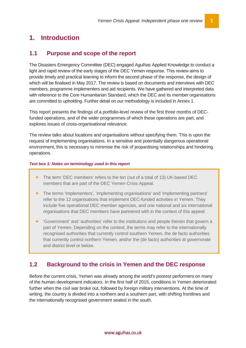# <span id="page-5-0"></span>**1. Introduction**

### <span id="page-5-1"></span>**1.1 Purpose and scope of the report**

The Disasters Emergency Committee (DEC) engaged Agulhas Applied Knowledge to conduct a light and rapid review of the early stages of the DEC Yemen response. This review aims to provide timely and practical learning to inform the second phase of the response, the design of which will be finalised in May 2017. The review is based on documents and interviews with DEC members, programme implementers and aid recipients. We have gathered and interpreted data with reference to the Core Humanitarian Standard, which the DEC and its member organisations are committed to upholding. Further detail on our methodology is included in Annex 1.

This report presents the findings of a portfolio-level review of the first three months of DECfunded operations, and of the wider programmes of which these operations are part, and explores issues of cross-organisational relevance.

The review talks about locations and organisations without specifying them. This is upon the request of implementing organisations. In a sensitive and potentially dangerous operational environment, this is necessary to minimise the risk of jeopardising relationships and hindering operations.

#### *Text box 1: Notes on terminology used in this report*

- The term 'DEC members' refers to the ten (out of a total of 13) UK-based DEC members that are part of the DEC Yemen Crisis Appeal.
- The terms 'implementers', 'implementing organisations' and 'implementing partners' refer to the 12 organisations that implement DEC-funded activities in Yemen. They include five operational DEC member agencies, and one national and six international organisations that DEC members have partnered with in the context of this appeal.
- 'Government' and 'authorities' refer to the institutions and people therein that govern a part of Yemen. Depending on the context, the terms may refer to the internationally recognised authorities that currently control southern Yemen, the de facto authorities that currently control northern Yemen, and/or the (de facto) authorities at governorate and district level or below.

### <span id="page-5-2"></span>**1.2 Background to the crisis in Yemen and the DEC response**

Before the current crisis, Yemen was already among the world's poorest performers on many of the human development indicators. In the first half of 2015, conditions in Yemen deteriorated further when the civil war broke out, followed by foreign military interventions. At the time of writing, the country is divided into a northern and a southern part, with shifting frontlines and the internationally recognised government seated in the south.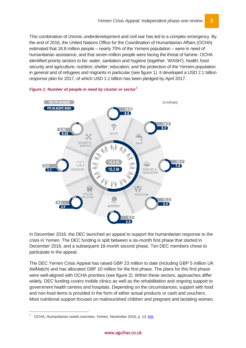This combination of chronic underdevelopment and civil war has led to a complex emergency. By the end of 2016, the United Nations Office for the Coordination of Humanitarian Affairs (OCHA) estimated that 18.8 million people – nearly 70% of the Yemeni population – were in need of humanitarian assistance, and that seven million people were facing the threat of famine. OCHA identified priority sectors to be: water, sanitation and hygiene (together: 'WASH'); health; food security and agriculture; nutrition; shelter; education; and the protection of the Yemeni population in general and of refugees and migrants in particular (see figure 1). It developed a USD 2.1 billion response plan for 2017, of which USD 1.1 billion has been pledged by April 2017.





In December 2016, the DEC launched an appeal to support the humanitarian response to the crisis in Yemen. The DEC funding is split between a six-month first phase that started in December 2016, and a subsequent 18-month second phase. Ten DEC members chose to participate in the appeal.

The DEC Yemen Crisis Appeal has raised GBP 23 million to date (including GBP 5 million UK AidMatch) and has allocated GBP 10 million for the first phase. The plans for this first phase were well-aligned with OCHA priorities (see figure 2). Within these sectors, approaches differ widely. DEC funding covers mobile clinics as well as the rehabilitation and ongoing support to government health centres and hospitals. Depending on the circumstances, support with food and non-food items is provided in the form of either actual products or cash and vouchers. Most nutritional support focuses on malnourished children and pregnant and lactating women,

<span id="page-6-0"></span> <sup>1</sup> OCHA, Humanitarian needs overview, Yemen, November 2016, p. 13, [link.](https://docs.unocha.org/sites/dms/Yemen/YEMEN%202017%20HNO_Final.pdf)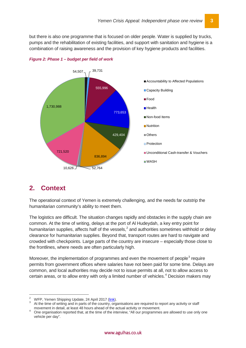but there is also one programme that is focused on older people. Water is supplied by trucks, pumps and the rehabilitation of existing facilities, and support with sanitation and hygiene is a combination of raising awareness and the provision of key hygiene products and facilities.



*Figure 2: Phase 1 – budget per field of work*

# <span id="page-7-0"></span>**2. Context**

The operational context of Yemen is extremely challenging, and the needs far outstrip the humanitarian community's ability to meet them.

The logistics are difficult. The situation changes rapidly and obstacles in the supply chain are common. At the time of writing, delays at the port of Al Hudeydah, a key entry point for humanitarian supplies, affects half of the vessels,<sup>[2](#page-7-1)</sup> and authorities sometimes withhold or delay clearance for humanitarian supplies. Beyond that, transport routes are hard to navigate and crowded with checkpoints. Large parts of the country are insecure – especially those close to the frontlines, where needs are often particularly high.

Moreover, the implementation of programmes and even the movement of people<sup>[3](#page-7-2)</sup> require permits from government offices where salaries have not been paid for some time. Delays are common, and local authorities may decide not to issue permits at all, not to allow access to certain areas, or to allow entry with only a limited number of vehicles.<sup>[4](#page-7-3)</sup> Decision makers may

<span id="page-7-2"></span><span id="page-7-1"></span><sup>&</sup>lt;sup>2</sup> WFP, Yemen Shipping Update, 24 April 2017 [\(link\)](http://reliefweb.int/report/yemen/wfp-yemen-shipping-update-24-april-2017).<br>
<sup>3</sup> At the time of writing and in parts of the country, organisations are required to report any activity or staff movement in detail, at least 48 hours ahead of the

<span id="page-7-3"></span>One organisation reported that, at the time of the interview, "All our programmes are allowed to use only one vehicle per day".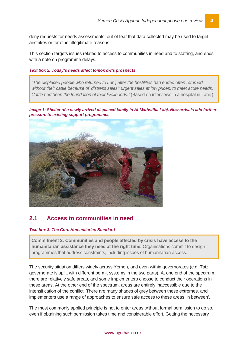deny requests for needs assessments, out of fear that data collected may be used to target airstrikes or for other illegitimate reasons.

This section targets issues related to access to communities in need and to staffing, and ends with a note on programme delays.

#### *Text box 2: Today's needs affect tomorrow's prospects*

*"The displaced people who returned to Lahij after the hostilities had ended often returned without their cattle because of 'distress sales': urgent sales at low prices, to meet acute needs. Cattle had been the foundation of their livelihoods."* (Based on interviews in a hospital in Lahij.)

*Image 1: Shelter of a newly arrived displaced family in Al-Mathstiba Lahj. New arrivals add further pressure to existing support programmes.*



### <span id="page-8-0"></span>**2.1 Access to communities in need**

#### *Text box 3: The Core Humanitarian Standard*

**Commitment 2: Communities and people affected by crisis have access to the humanitarian assistance they need at the right time.** Organisations commit to design programmes that address constraints, including issues of humanitarian access.

The security situation differs widely across Yemen, and even within governorates (e.g. Taiz governorate is split, with different permit systems in the two parts). At one end of the spectrum, there are relatively safe areas, and some implementers choose to conduct their operations in these areas. At the other end of the spectrum, areas are entirely inaccessible due to the intensification of the conflict. There are many shades of grey between these extremes, and implementers use a range of approaches to ensure safe access to these areas 'in between'.

The most commonly applied principle is not to enter areas without formal permission to do so, even if obtaining such permission takes time and considerable effort. Getting the necessary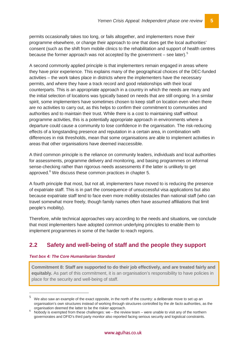permits occasionally takes too long, or fails altogether, and implementers move their programme elsewhere, or change their approach to one that does get the local authorities' consent (such as the shift from mobile clinics to the rehabilitation and support of health centres because the former approach was not accepted by the government  $-$  see later).<sup>[5](#page-9-1)</sup>

A second commonly applied principle is that implementers remain engaged in areas where they have prior experience. This explains many of the geographical choices of the DEC-funded activities – the work takes place in districts where the implementers have the necessary permits, and where they have a track record and good relationships with their local counterparts. This is an appropriate approach in a country in which the needs are many and the initial selection of locations was typically based on needs that are still ongoing. In a similar spirit, some implementers have sometimes chosen to keep staff on location even when there are no activities to carry out, as this helps to confirm their commitment to communities and authorities and to maintain their trust. While there is a cost to maintaining staff without programme activities, this is a potentially appropriate approach in environments where a departure could cause a community to lose confidence in the organisation. The risk-reducing effects of a longstanding presence and reputation in a certain area, in combination with differences in risk thresholds, mean that some organisations are able to implement activities in areas that other organisations have deemed inaccessible.

A third common principle is the reliance on community leaders, individuals and local authorities for assessments, programme delivery and monitoring, and basing programmes on informal sense-checking rather than rigorous needs assessments if the latter is unlikely to get approved.<sup>[6](#page-9-2)</sup> We discuss these common practices in chapter 5.

A fourth principle that most, but not all, implementers have moved to is reducing the presence of expatriate staff. This is in part the consequence of unsuccessful visa applications but also because expatriate staff tend to face even more mobility obstacles than national staff (who can travel somewhat more freely, though family names often have assumed affiliations that limit people's mobility).

Therefore, while technical approaches vary according to the needs and situations, we conclude that most implementers have adopted common underlying principles to enable them to implement programmes in some of the harder to reach regions.

### <span id="page-9-0"></span>**2.2 Safety and well-being of staff and the people they support**

#### *Text box 4: The Core Humanitarian Standard*

 $\overline{a}$ 

**Commitment 8: Staff are supported to do their job effectively, and are treated fairly and equitably.** As part of this commitment, it is an organisation's responsibility to have policies in place for the security and well-being of staff.

<span id="page-9-1"></span>We also saw an example of the exact opposite, in the north of the country: a deliberate move to set up an organisation's own structures instead of working through structures controlled by the *de facto* authorities, as the

<span id="page-9-2"></span>Nobody is exempted from these challenges: we – the review team – were unable to visit any of the northern governorates and DFID's third party monitor also reported facing serious security and logistical constraints.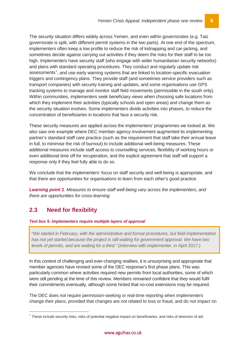The security situation differs widely across Yemen, and even within governorates (e.g. Taiz governorate is split, with different permit systems in the two parts). At one end of the spectrum, implementers often keep a low profile to reduce the risk of kidnapping and car-jacking, and sometimes decide against carrying out activities if they deem the risks for their staff to be too high. Implementers have security staff (who engage with wider humanitarian security networks) and plans with standard operating procedures. They conduct and regularly update risk assessments<sup>[7](#page-10-1)</sup>, and use early warning systems that are linked to location-specific evacuation triggers and contingency plans. They provide staff (and sometimes service providers such as transport companies) with security training and updates, and some organisations use GPS tracking systems to manage and monitor staff field movements (permissible in the south only). Within communities, implementers seek beneficiary views when choosing safe locations from which they implement their activities (typically schools and open areas) and change them as the security situation evolves. Some implementers divide activities into phases, to reduce the concentration of beneficiaries in locations that face a security risk.

These security measures are applied across the implementers' programmes we looked at. We also saw one example where DEC member agency involvement augmented its implementing partner's standard staff care practice (such as the requirement that staff take their annual leave in full, to minimise the risk of burnout) to include additional well-being measures. These additional measures include staff access to counselling services, flexibility of working hours or even additional time off for recuperation, and the explicit agreement that staff will support a response only if they feel fully able to do so.

We conclude that the implementers' focus on staff security and well-being is appropriate, and that there are opportunities for organisations to learn from each other's good practice.

*Learning point 1. Measures to ensure staff well-being vary across the implementers, and there are opportunities for cross-learning.*

# <span id="page-10-0"></span>**2.3 Need for flexibility**

*Text box 5: Implementers require multiple layers of approval* 

*"We started in February, with the administrative and formal procedures, but field implementation has not yet started because the project is still waiting for government approval. We have two levels of permits, and are waiting for a third."* (Interview with implementer, in April 2017.)

In this context of challenging and ever-changing realities, it is unsurprising and appropriate that member agencies have revised some of the DEC response's first phase plans. This was particularly common where activities required new permits from local authorities, some of which were still pending at the time of this review. Members remained confident that they would fulfil their commitments eventually, although some hinted that no-cost extensions may be required.

The DEC does not require permission-seeking or real-time reporting when implementers change their plans, provided that changes are not related to loss or fraud, and do not impact on

<span id="page-10-1"></span> $7$  These include security risks, risks of potential negative impact on beneficiaries, and risks of diversion of aid.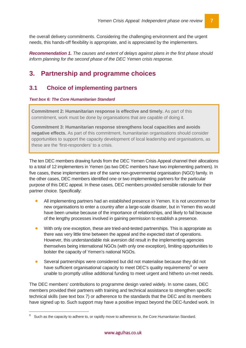the overall delivery commitments. Considering the challenging environment and the urgent needs, this hands-off flexibility is appropriate, and is appreciated by the implementers.

*Recommendation 1. The causes and extent of delays against plans in the first phase should inform planning for the second phase of the DEC Yemen crisis response.*

# <span id="page-11-0"></span>**3. Partnership and programme choices**

### <span id="page-11-1"></span>**3.1 Choice of implementing partners**

#### *Text box 6: The Core Humanitarian Standard*

**Commitment 2: Humanitarian response is effective and timely.** As part of this commitment, work must be done by organisations that are capable of doing it.

**Commitment 3: Humanitarian response strengthens local capacities and avoids negative effects.** As part of this commitment, humanitarian organisations should consider opportunities to support the capacity development of local leadership and organisations, as these are the 'first-responders' to a crisis.

The ten DEC members drawing funds from the DEC Yemen Crisis Appeal channel their allocations to a total of 12 implementers in Yemen (as two DEC members have two implementing partners). In five cases, these implementers are of the same non-governmental organisation (NGO) family. In the other cases, DEC members identified one or two implementing partners for the particular purpose of this DEC appeal. In these cases, DEC members provided sensible rationale for their partner choice. Specifically:

- All implementing partners had an established presence in Yemen. It is not uncommon for new organisations to enter a country after a large-scale disaster, but in Yemen this would have been unwise because of the importance of relationships, and likely to fail because of the lengthy processes involved in gaining permission to establish a presence.
- With only one exception, these are tried-and-tested partnerships. This is appropriate as there was very little time between the appeal and the expected start of operations. However, this understandable risk aversion did result in the implementing agencies themselves being international NGOs (with only one exception), limiting opportunities to bolster the capacity of Yemen's national NGOs.
- Several partnerships were considered but did not materialise because they did not have sufficient organisational capacity to meet DEC's quality requirements<sup>[8](#page-11-2)</sup> or were unable to promptly utilise additional funding to meet urgent and hitherto un-met needs.

The DEC members' contributions to programme design varied widely. In some cases, DEC members provided their partners with training and technical assistance to strengthen specific technical skills (see text box 7) or adherence to the standards that the DEC and its members have signed up to. Such support may have a positive impact beyond the DEC-funded work. In

<span id="page-11-2"></span>Such as the capacity to adhere to, or rapidly move to adherence to, the Core Humanitarian Standard.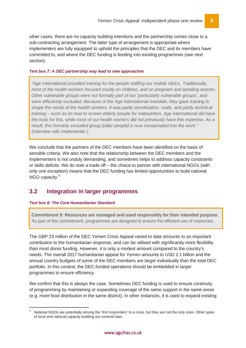other cases, there are no capacity building intentions and the partnership comes close to a sub-contracting arrangement. The latter type of arrangement is appropriate where implementers are fully equipped to uphold the principles that the DEC and its members have committed to, and where the DEC funding is feeding into existing programmes (see next section).

#### *Text box 7: A DEC partnership may lead to new approaches*

*"Age International provided training for the people staffing our mobile clinics. Traditionally, most of the health workers focused mostly on children, and on pregnant and lactating women. Other vulnerable groups were not formally part of our 'particularly vulnerable groups', and were effectively excluded. Because of the Age International mandate, they gave training to shape the minds of the health workers. It was partly sensitisation, really, and partly technical training – such as on how to screen elderly people for malnutrition. Age International did have the tools for this, while most of our health workers did not previously have this expertise. As a result, this formerly excluded group [older people] is now incorporated into the work."* (Interview with implementer.)

We conclude that the partners of the DEC members have been identified on the basis of sensible criteria. We also note that the relationship between the DEC members and the implementers is not unduly demanding, and sometimes helps to address capacity constraints or skills deficits. We do note a trade off – the choice to partner with international NGOs (with only one exception) means that the DEC funding has limited opportunities to build national NGO capacity.<sup>[9](#page-12-1)</sup>

### <span id="page-12-0"></span>**3.2 Integration in larger programmes**

#### *Text box 8: The Core Humanitarian Standard*

**Commitment 9: Resources are managed and used responsibly for their intended purpose.** As part of this commitment, programmes are designed to ensure the efficient use of resources.

The GBP 23 million of the DEC Yemen Crisis Appeal raised to date amounts to an important contribution to the humanitarian response, and can be utilised with significantly more flexibility than most donor funding. However, it is only a modest amount compared to the country's needs. The overall 2017 humanitarian appeal for Yemen amounts to USD 2.1 billion and the annual country budgets of some of the DEC members are larger individually than the total DEC portfolio. In this context, the DEC-funded operations should be embedded in larger programmes to ensure efficiency.

We confirm that this is always the case. Sometimes DEC funding is used to ensure continuity of programming by maintaining or expanding coverage of the same support in the same areas (e.g. *more* food distribution in the same district). In other instances, it is used to expand existing

<span id="page-12-1"></span>National NGOs are potentially among the 'first responders' to a crisis, but they are not the only ones. Other types of local and national capacity building are covered later.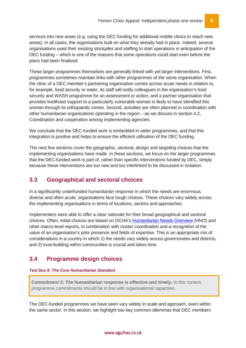services into new areas (e.g. using the DEC funding for additional mobile clinics to reach new areas). In all cases, the organisations built on what they already had in place. Indeed, several organisations used their existing stockpiles and staffing to start operations in anticipation of the DEC funding – which is one of the reasons that some operations could start even before the plans had been finalised.

These larger programmes themselves are generally linked with yet larger interventions. First, programmes sometimes maintain links with other programmes of the same organisation. When the clinic of a DEC member's partnering organisation comes across acute needs in relation to, for example, food security or water, its staff will notify colleagues in the organisation's food security and WASH programme for an assessment or action; and a partner organisation that provides livelihood support to a particularly vulnerable woman is likely to have identified this woman through its orthopaedic centre. Second, activities are often planned in coordination with other humanitarian organisations operating in the region – as we discuss in section [4.2,](#page-22-0) Coordination and cooperation among implementing agencies.

We conclude that the DEC-funded work is embedded in wider programmes, and that this integration is positive and helps to ensure the efficient utilisation of the DEC funding.

The next few sections cover the geographic, sectoral, design and targeting choices that the implementing organisations have made. In these sections, we focus on the larger programmes that the DEC-funded work is part of, rather than specific interventions funded by DEC, simply because these interventions are too new and too interlinked to be discussed in isolation.

### <span id="page-13-0"></span>**3.3 Geographical and sectoral choices**

In a significantly underfunded humanitarian response in which the needs are enormous, diverse and often acute, organisations face tough choices. These choices vary widely across the implementing organisations in terms of locations, sectors and approaches.

Implementers were able to offer a clear rationale for their broad geographical and sectoral choices. Often, initial choices are based on OCHA's [Humanitarian Needs Overview](https://docs.unocha.org/sites/dms/Yemen/YEMEN%202017%20HNO_Final.pdf) (HNO) and other macro-level reports, in combination with cluster coordination and a recognition of the value of an organisation's prior presence and fields of expertise. This is an appropriate mix of considerations in a country in which 1) the needs vary widely across governorates and districts, and 2) trust-building within communities is crucial and takes time.

# <span id="page-13-1"></span>**3.4 Programme design choices**

#### *Text box 9: The Core Humanitarian Standard*

**Commitment 2: The humanitarian response is effective and timely.** In this context, programme commitments should be in line with organisational capacities.

The DEC-funded programmes we have seen vary widely in scale and approach, even within the same sector. In this section, we highlight two key common dilemmas that DEC members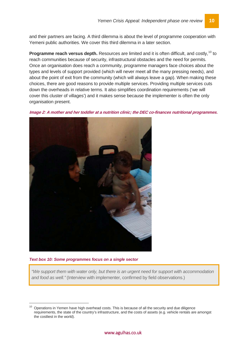and their partners are facing. A third dilemma is about the level of programme cooperation with Yemeni public authorities. We cover this third dilemma in a later section.

**Programme reach versus depth.** Resources are limited and it is often difficult, and costly,<sup>[10](#page-14-0)</sup> to reach communities because of security, infrastructural obstacles and the need for permits. Once an organisation does reach a community, programme managers face choices about the types and levels of support provided (which will never meet all the many pressing needs), and about the point of exit from the community (which will always leave a gap). When making these choices, there are good reasons to provide multiple services. Providing multiple services cuts down the overheads in relative terms. It also simplifies coordination requirements ('we will cover this cluster of villages') and it makes sense because the implementer is often the only organisation present.

**Image 2: A mother and her toddler at a nutrition clinic; the DEC co-finances nutritional programmes.** 



*Text box 10: Some programmes focus on a single sector*

*"We support them with water only, but there is an urgent need for support with accommodation and food as well."* (Interview with implementer, confirmed by field observations.)

<span id="page-14-0"></span> <sup>10</sup> Operations in Yemen have high overhead costs. This is because of all the security and due diligence requirements, the state of the country's infrastructure, and the costs of assets (e.g. vehicle rentals are amongst the costliest in the world).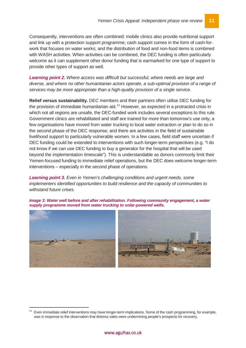Consequently, interventions are often combined: mobile clinics also provide nutritional support and link up with a protection support programme; cash support comes in the form of cash-forwork that focuses on water works; and the distribution of food and non-food items is combined with WASH activities. When activities can be combined, the DEC funding is often particularly welcome as it can supplement other donor funding that is earmarked for one type of support to provide other types of support as well.

*Learning point 2. Where access was difficult but successful, where needs are large and diverse, and where no other humanitarian actors operate, a sub-optimal provision of a range of services may be more appropriate than a high-quality provision of a single service.*

**Relief versus sustainability.** DEC members and their partners often utilise DEC funding for the provision of immediate humanitarian aid.<sup>[11](#page-15-0)</sup> However, as expected in a protracted crisis in which not all regions are unsafe, the DEC-funded work includes several exceptions to this rule. Government clinics are rehabilitated and staff are trained for more than tomorrow's use only; a few organisations have moved from water trucking to local water extraction or plan to do so in the second phase of the DEC response; and there are activities in the field of sustainable livelihood support to particularly vulnerable women. In a few cases, field staff were uncertain if DEC funding could be extended to interventions with such longer-term perspectives (e.g. "I do not know if we can use DEC funding to buy a generator for the hospital that will be used beyond the implementation timescale"). This is understandable as donors commonly limit their Yemen-focused funding to immediate relief operations, but the DEC does welcome longer-term interventions – especially in the second phase of operations.

*Learning point 3. Even in Yemen's challenging conditions and urgent needs, some implementers identified opportunities to build resilience and the capacity of communities to withstand future crises.*

*Image 3: Water well before and after rehabilitation. Following community engagement, a water supply programme moved from water trucking to solar-powered wells.* 



<span id="page-15-0"></span> <sup>11</sup> Even immediate relief interventions may have longer-term implications. Some of the cash programming, for example, was in response to the observation that distress sales were undermining people's prospects for recovery.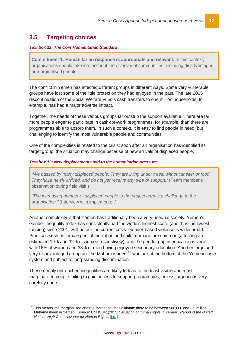# <span id="page-16-0"></span>**3.5 Targeting choices**

#### *Text box 11: The Core Humanitarian Standard*

**Commitment 1: Humanitarian response is appropriate and relevant.** In this context, organisations should take into account the diversity of communities, including disadvantaged or marginalised people.

The conflict in Yemen has affected different groups in different ways. Some very vulnerable groups have lost some of the little protection they had enjoyed in the past. The late 2015 discontinuation of the Social Welfare Fund's cash transfers to one million households, for example, has had a major adverse impact.

Together, the needs of these various groups far outstrip the support available. There are far more people eager to participate in cash-for-work programmes, for example, than there are programmes able to absorb them. In such a context, it is easy to find people in need, but challenging to identify the most vulnerable people and communities.

One of the complexities is related to the crisis; soon after an organisation has identified its target group, the situation may change because of new arrivals of displaced people.

#### *Text box 12: New displacements add to the humanitarian pressure*

*"We passed by many displaced people. They are living under trees, without shelter or food. They have newly arrived, and do not yet receive any type of support."* (Team member's observation during field visit.)

*"The increasing number of displaced people to the project area is a challenge to the organisation."* (Interview with implementer.)

Another complexity is that Yemen has traditionally been a very unequal society. Yemen's Gender Inequality Index has consistently had the world's highest score (and thus the lowest ranking) since 2001, well before the current crisis. Gender-based violence is widespread. Practices such as female genital mutilation and child marriage are common (affecting an estimated 19% and 32% of women respectively), and the gender gap in education is large, with 16% of women and 33% of men having enjoyed secondary education. Another large and very disadvantaged group are the Muhamasheen,<sup>[12](#page-16-1)</sup> who are at the bottom of the Yemeni caste system and subject to long-standing discrimination.

These deeply entrenched inequalities are likely to lead to the least visible and most marginalised people failing to gain access to support programmes, unless targeting is very carefully done.

<span id="page-16-1"></span> <sup>12</sup> This means 'the marginalised ones'. Different sources estimate there to be between 500,000 and 3.5 million Muhamasheen in Yemen. [Source: UNHCHR (2015) "Situation of human rights in Yemen", *Report of the United Nations High Commissioner for Human Rights*, [link.](http://www.ohchr.org/EN/HRBodies/HRC/RegularSessions/Session30/Documents/A_HRC_30_31_AEV.docx)]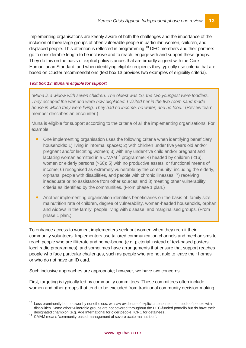Implementing organisations are keenly aware of both the challenges and the importance of the inclusion of three large groups of often vulnerable people in particular: women, children, and displaced people. This attention is reflected in programming.<sup>[13](#page-17-0)</sup> DEC members and their partners go to considerable length to be inclusive and to reach, engage with and support these groups. They do this on the basis of explicit policy stances that are broadly aligned with the Core Humanitarian Standard, and when identifying eligible recipients they typically use criteria that are based on Cluster recommendations (text box 13 provides two examples of eligibility criteria).

#### *Text box 13: Muna is eligible for support*

*"Muna is a widow with seven children. The oldest was 16, the two youngest were toddlers. They escaped the war and were now displaced. I visited her in the two-room sand-made house in which they were living. They had no income, no water, and no food."* (Review team member describes an encounter.)

Muna is eligible for support according to the criteria of all the implementing organisations. For example:

- One implementing organisation uses the following criteria when identifying beneficiary households: 1) living in informal spaces; 2) with children under five years old and/or pregnant and/or lactating women; 3) with any under-five child and/or pregnant and lactating woman admitted in a CMAM<sup>[14](#page-17-1)</sup> programme; 4) headed by children  $\left($ <16), women or elderly persons (>60); 5) with no productive assets, or functional means of income; 6) recognised as extremely vulnerable by the community, including the elderly, orphans, people with disabilities, and people with chronic illnesses; 7) receiving inadequate or no assistance from other sources; and 8) meeting other vulnerability criteria as identified by the communities. (From phase 1 plan.)
- Another implementing organisation identifies beneficiaries on the basis of: family size, malnutrition rate of children, degree of vulnerability, women-headed households, orphan and widows in the family, people living with disease, and marginalised groups. (From phase 1 plan.)

To enhance access to women, implementers seek out women when they recruit their community volunteers. Implementers use tailored communication channels and mechanisms to reach people who are illiterate and home-bound (e.g. pictorial instead of text-based posters, local radio programmes), and sometimes have arrangements that ensure that support reaches people who face particular challenges, such as people who are not able to leave their homes or who do not have an ID card.

Such inclusive approaches are appropriate; however, we have two concerns.

First, targeting is typically led by community committees. These committees often include women and other groups that tend to be excluded from traditional community decision-making.

<span id="page-17-0"></span><sup>&</sup>lt;sup>13</sup> Less prominently but noteworthy nonetheless, we saw evidence of explicit attention to the needs of people with disabilities. Some other vulnerable groups are not covered throughout the DEC-funded portfolio but do have their designated champion (e.g. Age International for older people, ICRC for detainees).

<span id="page-17-1"></span>designated champion (e.g. Age International for severe acute malnutrition'.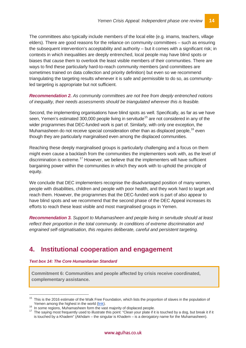The committees also typically include members of the local elite (e.g. imams, teachers, village elders). There are good reasons for the reliance on community committees – such as ensuring the subsequent intervention's acceptability and authority – but it comes with a significant risk; in contexts in which inequalities are deeply entrenched, local people may have blind spots or biases that cause them to overlook the least visible members of their communities. There are ways to find these particularly hard-to-reach community members (and committees are sometimes trained on data collection and priority definition) but even so we recommend triangulating the targeting results whenever it is safe and permissible to do so, as communityled targeting is appropriate but not sufficient.

*Recommendation 2. As community committees are not free from deeply entrenched notions of inequality, their needs assessments should be triangulated wherever this is feasible.*

Second, the implementing organisations have blind spots as well. Specifically, as far as we have seen, Yemen's estimated 300,000 people living in servitude<sup>[15](#page-18-1)</sup> are not considered in any of the wider programmes that DEC-funded work is part of. Similarly, with only one exception, the Muhamasheen do not receive special consideration other than as displaced people,<sup>[16](#page-18-2)</sup> even though they are particularly marginalised even among the displaced communities.

Reaching these deeply marginalised groups is particularly challenging and a focus on them might even cause a backlash from the communities the implementers work with, as the level of discrimination is extreme.<sup>[17](#page-18-3)</sup> However, we believe that the implementers will have sufficient bargaining power within the communities in which they work with to uphold the principle of equity.

We conclude that DEC implementers recognise the disadvantaged position of many women, people with disabilities, children and people with poor health, and they work hard to target and reach them. However, the programmes that the DEC-funded work is part of also appear to have blind spots and we recommend that the second phase of the DEC Appeal increases its efforts to reach these least visible and most marginalised groups in Yemen.

*Recommendation 3. Support to Muhamasheen and people living in servitude should at least reflect their proportion in the total community. In conditions of extreme discrimination and engrained self-stigmatisation, this requires deliberate, careful and persistent targeting.*

# <span id="page-18-0"></span>**4. Institutional cooperation and engagement**

#### *Text box 14: The Core Humanitarian Standard*

**Commitment 6: Communities and people affected by crisis receive coordinated, complementary assistance.**

<span id="page-18-1"></span>This is the 2016 estimate of the Walk Free Foundation, which lists the proportion of slaves in the population of Yemen among the highest in the world (link).

<span id="page-18-3"></span><span id="page-18-2"></span><sup>&</sup>lt;sup>16</sup> In some regions, Muhamasheen form the vast majority of displaced people.<br><sup>17</sup> The saying most frequently used to illustrate this point: "Clean your plate if it is touched by a dog, but break it if it is touched by a Khadem" (Akhdam – the singular is Khadem – is a derogatory name for the Muhamasheen).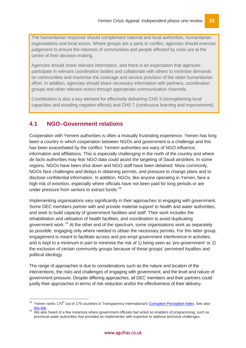The humanitarian response should complement national and local authorities, humanitarian organisations and local actors. Where groups are a party to conflict, agencies should exercise judgement to ensure the interests of communities and people affected by crisis are at the centre of their decision-making.

Agencies should share relevant information, and there is an expectation that agencies participate in relevant coordination bodies and collaborate with others to minimise demands on communities and maximise the coverage and service provision of the wider humanitarian effort. In addition, agencies should share necessary information with partners, coordination groups and other relevant actors through appropriate communication channels.

Coordination is also a key element for effectively delivering CHS 3 (strengthening local capacities and avoiding negative effects) and CHS 7 (continuous learning and improvement).

### <span id="page-19-0"></span>**4.1 NGO–Government relations**

Cooperation with Yemeni authorities is often a mutually frustrating experience. Yemen has long been a country in which cooperation between NGOs and government is a challenge and this has been exacerbated by the conflict. Yemeni authorities are wary of NGO influence, information and affiliations. This is especially challenging in the north of the country and where *de facto* authorities may fear NGO data could assist the targeting of Saudi airstrikes. In some regions, NGOs have been shut down and NGO staff have been detained. More commonly, NGOs face challenges and delays in obtaining permits, and pressure to change plans and to disclose confidential information. In addition, NGOs, like anyone operating in Yemen, face a high risk of extortion, especially where officials have not been paid for long periods or are under pressure from seniors to extract funds.<sup>[18](#page-19-1)</sup>

Implementing organisations vary significantly in their approaches to engaging with government. Some DEC members partner with and provide material support to health and water authorities, and seek to build capacity of government facilities and staff. Their work includes the rehabilitation and utilisation of health facilities, and coordination to avoid duplicating government work.[19](#page-19-2) At the other end of the spectrum, some organisations work as separately as possible, engaging only where needed to obtain the necessary permits. For this latter group, engagement is meant to facilitate access and pre-empt government interference in activities, and is kept to a minimum in part to minimise the risk of 1) being seen as 'pro-government' or 2) the exclusion of certain community groups because of these groups' perceived loyalties and political ideology.

The range of approaches is due to considerations such as the nature and location of the interventions, the risks and challenges of engaging with government, and the level and nature of government pressure. Despite differing approaches, all DEC members and their partners could justify their approaches in terms of risk reduction and/or the effectiveness of their delivery.

<span id="page-19-1"></span><sup>&</sup>lt;sup>18</sup> Yemen ranks 170<sup>th</sup> out of 176 countries in Transparency International'[s Corruption Perception Index.](http://www.transparency.org/news/feature/corruption_perceptions_index_2016) See also

<span id="page-19-2"></span>[this link.](http://www.business-anti-corruption.com/country-profiles/yemen)<br>We also heard of a few instances where government officials had acted as enablers of programming, such as provincial water authorities that provided an implementer with expertise to address technical challenges.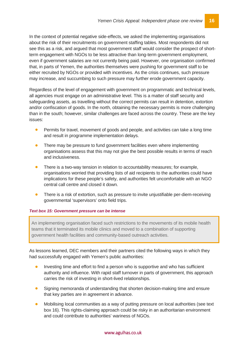In the context of potential negative side-effects, we asked the implementing organisations about the risk of their recruitments on government staffing tables. Most respondents did not see this as a risk, and argued that most government staff would consider the prospect of shortterm engagement with NGOs to be less attractive than long-term government employment, even if government salaries are not currently being paid. However, one organisation confirmed that, in parts of Yemen, the authorities themselves were pushing for government staff to be either recruited by NGOs or provided with incentives. As the crisis continues, such pressure may increase, and succumbing to such pressure may further erode government capacity.

Regardless of the level of engagement with government on programmatic and technical levels, all agencies must engage on an administrative level. This is a matter of staff security and safeguarding assets, as travelling without the correct permits can result in detention, extortion and/or confiscation of goods. In the north, obtaining the necessary permits is more challenging than in the south; however, similar challenges are faced across the country. These are the key issues:

- Permits for travel, movement of goods and people, and activities can take a long time and result in programme implementation delays.
- There may be pressure to fund government facilities even where implementing organisations assess that this may not give the best possible results in terms of reach and inclusiveness.
- There is a two-way tension in relation to accountability measures; for example, organisations worried that providing lists of aid recipients to the authorities could have implications for these people's safety, and authorities felt uncomfortable with an NGO central call centre and closed it down.
- There is a risk of extortion, such as pressure to invite unjustifiable per-diem-receiving governmental 'supervisors' onto field trips.

#### *Text box 15: Government pressure can be intense*

An implementing organisation faced such restrictions to the movements of its mobile health teams that it terminated its mobile clinics and moved to a combination of supporting government health facilities and community-based outreach activities.

As lessons learned, DEC members and their partners cited the following ways in which they had successfully engaged with Yemen's public authorities:

- Investing time and effort to find a person who is supportive and who has sufficient authority and influence. With rapid staff turnover in parts of government, this approach carries the risk of investing in short-lived relationships.
- Signing memoranda of understanding that shorten decision-making time and ensure that key parties are in agreement in advance.
- Mobilising local communities as a way of putting pressure on local authorities (see text box 16). This rights-claiming approach could be risky in an authoritarian environment and could contribute to authorities' wariness of NGOs.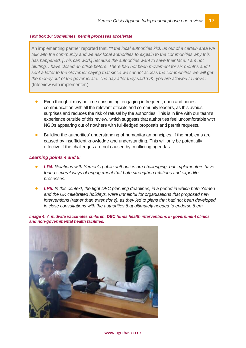#### *Text box 16: Sometimes, permit processes accelerate*

An implementing partner reported that, *"If the local authorities kick us out of a certain area we talk with the community and we ask local authorities to explain to the communities why this has happened. [This can work] because the authorities want to save their face. I am not bluffing, I have closed an office before. There had not been movement for six months and I sent a letter to the Governor saying that since we cannot access the communities we will get the money out of the governorate. The day after they said 'OK, you are allowed to move'."* (Interview with implementer.)

- Even though it may be time-consuming, engaging in frequent, open and honest communication with all the relevant officials and community leaders, as this avoids surprises and reduces the risk of refusal by the authorities. This is in line with our team's experience outside of this review, which suggests that authorities feel uncomfortable with NGOs appearing out of nowhere with full-fledged proposals and permit requests.
- Building the authorities' understanding of humanitarian principles, if the problems are caused by insufficient knowledge and understanding. This will only be potentially effective if the challenges are not caused by conflicting agendas.

#### *Learning points 4 and 5:*

- *LP4. Relations with Yemen's public authorities are challenging, but implementers have found several ways of engagement that both strengthen relations and expedite processes.*
- *LP5. In this context, the tight DEC planning deadlines, in a period in which both Yemen and the UK celebrated holidays, were unhelpful for organisations that proposed new interventions (rather than extensions), as they led to plans that had not been developed in close consultations with the authorities that ultimately needed to endorse them.*

*Image 4: A midwife vaccinates children. DEC funds health interventions in government clinics and non-governmental health facilities.* 

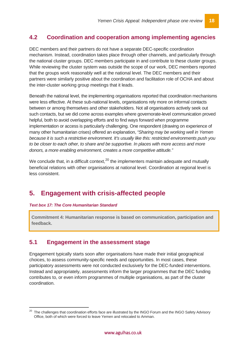## <span id="page-22-0"></span>**4.2 Coordination and cooperation among implementing agencies**

DEC members and their partners do not have a separate DEC-specific coordination mechanism. Instead, coordination takes place through other channels, and particularly through the national cluster groups. DEC members participate in and contribute to these cluster groups. While reviewing the cluster system was outside the scope of our work, DEC members reported that the groups work reasonably well at the national level. The DEC members and their partners were similarly positive about the coordination and facilitation role of OCHA and about the inter-cluster working group meetings that it leads.

Beneath the national level, the implementing organisations reported that coordination mechanisms were less effective. At these sub-national levels, organisations rely more on informal contacts between or among themselves and other stakeholders. Not all organisations actively seek out such contacts, but we did come across examples where governorate-level communication proved helpful, both to avoid overlapping efforts and to find ways forward when programme implementation or access is particularly challenging. One respondent (drawing on experience of many other humanitarian crises) offered an explanation, *"Sharing may be working well in Yemen because it is such a restrictive environment. It's usually like this: restricted environments push you*  to be closer to each other, to share and be supportive. In places with more access and more *donors, a more enabling environment, creates a more competitive attitude."*

We conclude that, in a difficult context,  $20$  the implementers maintain adequate and mutually beneficial relations with other organisations at national level. Coordination at regional level is less consistent.

# <span id="page-22-1"></span>**5. Engagement with crisis-affected people**

#### *Text box 17: The Core Humanitarian Standard*

**Commitment 4: Humanitarian response is based on communication, participation and feedback.** 

### <span id="page-22-2"></span>**5.1 Engagement in the assessment stage**

Engagement typically starts soon after organisations have made their initial geographical choices, to assess community-specific needs and opportunities. In most cases, these participatory assessments were not conducted exclusively for the DEC-funded interventions. Instead and appropriately, assessments inform the larger programmes that the DEC funding contributes to, or even inform programmes of multiple organisations, as part of the cluster coordination.

<span id="page-22-3"></span> <sup>20</sup> The challenges that coordination efforts face are illustrated by the INGO Forum and the INGO Safety Advisory Office, both of which were forced to leave Yemen and relocated to Amman.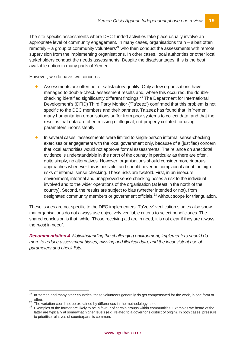The site-specific assessments where DEC-funded activities take place usually involve an appropriate level of community engagement. In many cases, organisations train – albeit often remotely – a group of community volunteers<sup>[21](#page-23-0)</sup> who then conduct the assessments with remote supervision from the implementing organisations. In other cases, local authorities or other local stakeholders conduct the needs assessments. Despite the disadvantages, this is the best available option in many parts of Yemen.

However, we do have two concerns.

- Assessments are often not of satisfactory quality. Only a few organisations have managed to double-check assessment results and, where this occurred, the double-checking identified significantly different findings.<sup>[22](#page-23-1)</sup> The Department for International Development's (DFID) Third Party Monitor ('Ta'zeez') confirmed that this problem is not specific to the DEC members and their partners. Ta'zeez has found that, in Yemen, many humanitarian organisations suffer from poor systems to collect data, and that the result is that data are often missing or illogical, not properly collated, or using parameters inconsistently.
- In several cases, 'assessments' were limited to single-person informal sense-checking exercises or engagement with the local government only, because of a (justified) concern that local authorities would not approve formal assessments. The reliance on anecdotal evidence is understandable in the north of the country in particular as there are often, quite simply, no alternatives. However, organisations should consider more rigorous approaches whenever this is possible, and should never be complacent about the high risks of informal sense-checking. These risks are twofold. First, in an insecure environment, informal and unapproved sense-checking poses a risk to the individual involved and to the wider operations of the organisation (at least in the north of the country). Second, the results are subject to bias (whether intended or not), from designated community members or government officials,<sup>[23](#page-23-2)</sup> without scope for triangulation.

These issues are not specific to the DEC implementers. Ta'zeez' verification studies also show that organisations do not always use objectively verifiable criteria to select beneficiaries. The shared conclusion is that, while "Those receiving aid are in need, it is not clear if they are always the *most* in need".

*Recommendation 4. Notwithstanding the challenging environment, implementers should do more to reduce assessment biases, missing and illogical data, and the inconsistent use of parameters and check lists.*

<span id="page-23-0"></span><sup>&</sup>lt;sup>21</sup> In Yemen and many other countries, these volunteers generally do get compensated for the work, in one form or other.<br><sup>22</sup> The variation could not be explained by differences in the methodology used.<br><sup>23</sup> Examples of the former are likely to be in favour of certain groups within communities. Examples we heard of the

<span id="page-23-1"></span>

<span id="page-23-2"></span>latter are typically at somewhat higher levels (e.g. related to a governor's district of origin). In both cases, pressure to prioritise relatives of counterparts is common.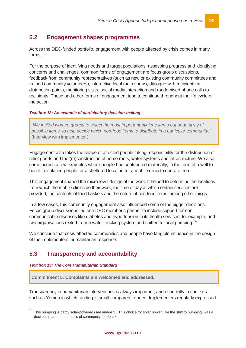### <span id="page-24-0"></span>**5.2 Engagement shapes programmes**

Across the DEC-funded portfolio, engagement with people affected by crisis comes in many forms.

For the purpose of identifying needs and target populations, assessing progress and identifying concerns and challenges, common forms of engagement are focus group discussions, feedback from community representatives (such as new or existing community committees and trained community volunteers), interactive local radio shows, dialogue with recipients at distribution points, monitoring visits, social media interaction and randomised phone calls to recipients. These and other forms of engagement tend to continue throughout the life cycle of the action.

#### *Text box 18: An example of participatory decision-making*

*"We invited women groups to select the most important hygiene items out of an array of possible items, to help decide which non-food items to distribute in a particular community."*  (Interview with implementer.)

Engagement also takes the shape of affected people taking responsibility for the distribution of relief goods and the (re)construction of home roofs, water systems and infrastructure. We also came across a few examples where people had contributed materially, in the form of a well to benefit displaced people, or a sheltered location for a mobile clinic to operate from.

This engagement shaped the micro-level design of the work. It helped to determine the locations from which the mobile clinics do their work, the time of day at which certain services are provided, the contents of food baskets and the nature of non-food items, among other things.

In a few cases, this community engagement also influenced some of the bigger decisions. Focus group discussions led one DEC member's partner to include support for noncommunicable diseases like diabetes and hypertension in its health services, for example, and two organisations exited from a water-trucking system and shifted to local pumping. $^{24}$  $^{24}$  $^{24}$ 

We conclude that crisis-affected communities and people have tangible influence in the design of the implementers' humanitarian response.

### <span id="page-24-1"></span>**5.3 Transparency and accountability**

#### *Text box 19: The Core Humanitarian Standard*

**Commitment 5: Complaints are welcomed and addressed.**

Transparency in humanitarian interventions is always important, and especially in contexts such as Yemen in which funding is small compared to need. Implementers regularly expressed

<span id="page-24-2"></span>This pumping is partly solar-powered (see image 3). This choice for solar power, like the shift to pumping, was a decision made on the basis of community feedback.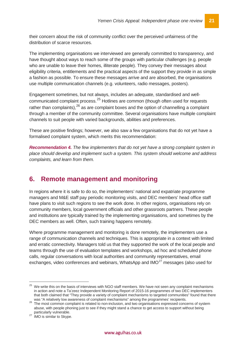their concern about the risk of community conflict over the perceived unfairness of the distribution of scarce resources.

The implementing organisations we interviewed are generally committed to transparency, and have thought about ways to reach some of the groups with particular challenges (e.g. people who are unable to leave their homes, illiterate people). They convey their messages about eligibility criteria, entitlements and the practical aspects of the support they provide in as simple a fashion as possible. To ensure these messages arrive and are absorbed, the organisations use multiple communication channels (e.g. volunteers, radio messages, posters).

Engagement sometimes, but not always, includes an adequate, standardised and well-communicated complaint process.<sup>[25](#page-25-1)</sup> Hotlines are common (though often used for requests rather than complaints),  $26$  as are complaint boxes and the option of channelling a complaint through a member of the community committee. Several organisations have multiple complaint channels to suit people with varied backgrounds, abilities and preferences.

These are positive findings; however, we also saw a few organisations that do not yet have a formalised complaint system, which merits this recommendation:

*Recommendation 4. The few implementers that do not yet have a strong complaint system in place should develop and implement such a system. This system should welcome and address complaints, and learn from them.*

# <span id="page-25-0"></span>**6. Remote management and monitoring**

In regions where it is safe to do so, the implementers' national and expatriate programme managers and M&E staff pay periodic monitoring visits, and DEC members' head office staff have plans to visit such regions to see the work done. In other regions, organisations rely on community members, local government officials and other grassroots partners. These people and institutions are typically trained by the implementing organisations, and sometimes by the DEC members as well. Often, such training happens remotely.

Where programme management and monitoring is done remotely, the implementers use a range of communication channels and techniques. This is appropriate in a context with limited and erratic connectivity. Managers told us that they supported the work of the local people and teams through the use of evaluation templates and workshops, ad hoc and scheduled phone calls, regular conversations with local authorities and community representatives, email exchanges, video conferences and webinars, WhatsApp and  $IMO<sup>27</sup>$  $IMO<sup>27</sup>$  $IMO<sup>27</sup>$  messages (also used for

<span id="page-25-1"></span><sup>&</sup>lt;sup>25</sup> We write this on the basis of interviews with NGO staff members. We have not seen any complaint mechanisms in action and note a Ta'zeez Independent Monitoring Report of 2015-16 programmes of two DEC implementers that both claimed that "They provide a variety of complaint mechanisms to targeted communities" found that there

<span id="page-25-2"></span>was "A relatively low awareness of complaint mechanisms" among the programmes' recipients.<br><sup>26</sup> The most common complaint is related to non-inclusion, and two organisations expressed concerns of system abuse, with people phoning just to see if they might stand a chance to get access to support without being

<span id="page-25-3"></span>particularly vulnerable. <sup>27</sup> IMO is similar to Skype.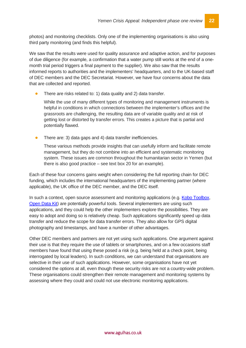photos) and monitoring checklists. Only one of the implementing organisations is also using third party monitoring (and finds this helpful).

We saw that the results were used for quality assurance and adaptive action, and for purposes of due diligence (for example, a confirmation that a water pump still works at the end of a onemonth trial period triggers a final payment to the supplier). We also saw that the results informed reports to authorities and the implementers' headquarters, and to the UK-based staff of DEC members and the DEC Secretariat. However, we have four concerns about the data that are collected and reported.

• There are risks related to: 1) data quality and 2) data transfer.

While the use of many different types of monitoring and management instruments is helpful in conditions in which connections between the implementer's offices and the grassroots are challenging, the resulting data are of variable quality and at risk of getting lost or distorted by transfer errors. This creates a picture that is partial and potentially flawed.

• There are: 3) data gaps and 4) data transfer inefficiencies.

These various methods provide insights that can usefully inform and facilitate remote management, but they do not combine into an efficient and systematic monitoring system. These issues are common throughout the humanitarian sector in Yemen (but there is also good practice – see text box 20 for an example).

Each of these four concerns gains weight when considering the full reporting chain for DEC funding, which includes the international headquarters of the implementing partner (where applicable), the UK office of the DEC member, and the DEC itself.

In such a context, open source assessment and monitoring applications (e.g. [Kobo Toolbox,](http://www.kobotoolbox.org/) [Open Data Kit\)](https://opendatakit.org/) are potentially powerful tools. Several implementers are using such applications, and they could help the other implementers explore the possibilities. They are easy to adopt and doing so is relatively cheap. Such applications significantly speed up data transfer and reduce the scope for data transfer errors. They also allow for GPS digital photography and timestamps, and have a number of other advantages.

Other DEC members and partners are not yet using such applications. One argument against their use is that they require the use of tablets or smartphones, and on a few occasions staff members have found that using these posed a risk (e.g. being held at a check point, being interrogated by local leaders). In such conditions, we can understand that organisations are selective in their use of such applications. However, some organisations have not yet considered the options at all, even though these security risks are not a country-wide problem. These organisations could strengthen their remote management and monitoring systems by assessing where they could and could not use electronic monitoring applications.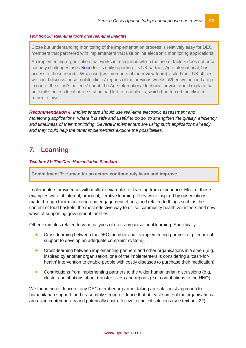#### *Text box 20: Real-time tools give real-time insights*

Close but undemanding monitoring of the implementation process is relatively easy for DEC members that partnered with implementers that use online electronic monitoring applications.

An implementing organisation that works in a region in which the use of tablets does not pose security challenges uses [Kobo](http://www.kobotoolbox.org/) for its daily reporting. Its UK partner, Age International, has access to these reports. When we (two members of the review team) visited their UK offices, we could discuss these mobile clinics' reports of the previous weeks. When we noticed a dip in one of the clinic's patients' count, the Age International technical advisor could explain that an explosion in a local police station had led to roadblocks, which had forced the clinic to return to town.

*Recommendation 4. Implementers should use real-time electronic assessment and monitoring applications, where it is safe and useful to do so, to strengthen the quality, efficiency and timeliness of their monitoring. Several implementers are using such applications already, and they could help the other implementers explore the possibilities.*

# <span id="page-27-0"></span>**7. Learning**

#### *Text box 21: The Core Humanitarian Standard*

**Commitment 7: Humanitarian actors continuously learn and improve.**

Implementers provided us with multiple examples of learning from experience. Most of these examples were of internal, practical, iterative learning. They were inspired by observations made through their monitoring and engagement efforts, and related to things such as the content of food baskets, the most effective way to utilise community health volunteers and new ways of supporting government facilities.

Other examples related to various types of cross-organisational learning. Specifically:

- Cross-learning between the DEC member and its implementing partner (e.g. technical support to develop an adequate complaint system).
- Cross-learning between implementing partners and other organisations in Yemen (e.g. inspired by another organisation, one of the implementers is considering a 'cash-forhealth' intervention to enable people with costly diseases to purchase their medication).
- Contributions from implementing partners to the wider humanitarian discussions (e.g. cluster contributions about transfer sizes) and reports (e.g. contributions to the HNO).

We found no evidence of any DEC member or partner taking an isolationist approach to humanitarian support, and reasonably strong evidence that at least some of the organisations are using contemporary and potentially cost-effective technical solutions (see text box 22).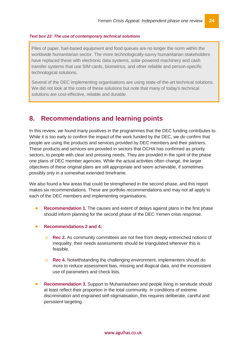#### *Text box 22: The use of contemporary technical solutions*

Piles of paper, fuel-based equipment and food queues are no longer the norm within the worldwide humanitarian sector. The more technologically-savvy humanitarian stakeholders have replaced these with electronic data systems, solar-powered machinery and cash transfer systems that use SIM cards, biometrics, and other reliable and person-specific technological solutions.

Several of the DEC implementing organisations are using state-of-the-art technical solutions. We did not look at the costs of these solutions but note that many of today's technical solutions are cost-effective, reliable and durable.

## <span id="page-28-0"></span>**8. Recommendations and learning points**

In this review, we found many positives in the programmes that the DEC funding contributes to. While it is too early to confirm the impact of the work funded by the DEC, we do confirm that people are using the products and services provided by DEC members and their partners. These products and services are provided in sectors that OCHA has confirmed as priority sectors, to people with clear and pressing needs. They are provided in the spirit of the phase one plans of DEC member agencies. While the actual activities often change, the larger objectives of these original plans are still appropriate and seem achievable, if sometimes possibly only in a somewhat extended timeframe.

We also found a few areas that could be strengthened in the second phase, and this report makes six recommendations. These are portfolio recommendations and may not all apply to each of the DEC members and implementing organisations.

- **Recommendation 1.** The causes and extent of delays against plans in the first phase should inform planning for the second phase of the DEC Yemen crisis response.
- **Recommendations 2 and 4:**
	- o **Rec 2.** As community committees are not free from deeply entrenched notions of inequality, their needs assessments should be triangulated wherever this is feasible.
	- o **Rec 4.** Notwithstanding the challenging environment, implementers should do more to reduce assessment bias, missing and illogical data, and the inconsistent use of parameters and check lists.
- **Recommendation 3.** Support to Muhamasheen and people living in servitude should at least reflect their proportion in the total community. In conditions of extreme discrimination and engrained self-stigmatisation, this requires deliberate, careful and persistent targeting.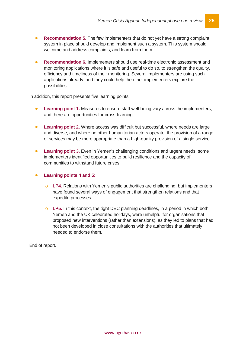- **Recommendation 5.** The few implementers that do not yet have a strong complaint system in place should develop and implement such a system. This system should welcome and address complaints, and learn from them.
- **Recommendation 6.** Implementers should use real-time electronic assessment and monitoring applications where it is safe and useful to do so, to strengthen the quality, efficiency and timeliness of their monitoring. Several implementers are using such applications already, and they could help the other implementers explore the possibilities.

In addition, this report presents five learning points:

- **Learning point 1.** Measures to ensure staff well-being vary across the implementers, and there are opportunities for cross-learning.
- **Learning point 2.** Where access was difficult but successful, where needs are large and diverse, and where no other humanitarian actors operate, the provision of a range of services may be more appropriate than a high-quality provision of a single service.
- **Learning point 3.** Even in Yemen's challenging conditions and urgent needs, some implementers identified opportunities to build resilience and the capacity of communities to withstand future crises.
- **Learning points 4 and 5:**
	- o **LP4.** Relations with Yemen's public authorities are challenging, but implementers have found several ways of engagement that strengthen relations and that expedite processes.
	- o **LP5.** In this context, the tight DEC planning deadlines, in a period in which both Yemen and the UK celebrated holidays, were unhelpful for organisations that proposed new interventions (rather than extensions), as they led to plans that had not been developed in close consultations with the authorities that ultimately needed to endorse them.

End of report.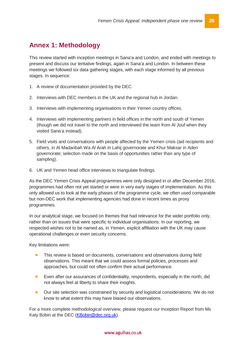# <span id="page-30-0"></span>**Annex 1: Methodology**

This review started with inception meetings in Sana'a and London, and ended with meetings to present and discuss our tentative findings, again in Sana'a and London. In between these meetings we followed six data gathering stages, with each stage informed by all previous stages. In sequence:

- 1. A review of documentation provided by the DEC.
- 2. Interviews with DEC members in the UK and the regional hub in Jordan.
- 3. Interviews with implementing organisations in their Yemen country offices.
- 4. Interviews with implementing partners in field offices in the north and south of Yemen (though we did not travel to the north and interviewed the team from Al Jouf when they visited Sana'a instead).
- 5. Field visits and conversations with people affected by the Yemen crisis (aid recipients and others, in Al Madaribah Wa Al Arah in Lahij governorate and Khur Maksar in Aden governorate; selection made on the basis of opportunities rather than any type of sampling).
- 6. UK and Yemen head office interviews to triangulate findings.

As the DEC Yemen Crisis Appeal programmes were only designed in or after December 2016, programmes had often not yet started or were in very early stages of implementation. As this only allowed us to look at the early phases of the programme cycle, we often used comparable but non-DEC work that implementing agencies had done in recent times as proxy programmes.

In our analytical stage, we focused on themes that had relevance for the wider portfolio only, rather than on issues that were specific to individual organisations. In our reporting, we respected wishes not to be named as, in Yemen, explicit affiliation with the UK may cause operational challenges or even security concerns.

Key limitations were:

- This review is based on documents, conversations and observations during field observations. This meant that we could assess formal policies, processes and approaches, but could not often confirm their actual performance.
- Even after our assurances of confidentiality, respondents, especially in the north, did not always feel at liberty to share their insights.
- Our site selection was constrained by security and logistical considerations. We do not know to what extent this may have biased our observations.

For a more complete methodological overview, please request our Inception Report from Ms Katy Bobin at the DEC [\(KBobin@dec.org.uk\)](mailto:KBobin@dec.org.uk).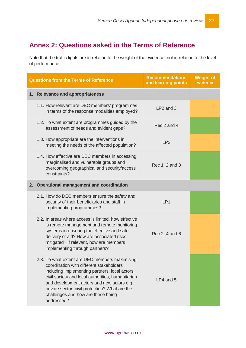# <span id="page-31-0"></span>**Annex 2: Questions asked in the Terms of Reference**

Note that the traffic lights are in relation to the weight of the evidence, not in relation to the level of performance.

| <b>Questions from the Terms of Reference</b> |                                                                                                                                                                                                                                                                                                                                                       | <b>Recommendations</b><br>and learning points | <b>Weight of</b><br>evidence |
|----------------------------------------------|-------------------------------------------------------------------------------------------------------------------------------------------------------------------------------------------------------------------------------------------------------------------------------------------------------------------------------------------------------|-----------------------------------------------|------------------------------|
|                                              | 1. Relevance and appropriateness                                                                                                                                                                                                                                                                                                                      |                                               |                              |
|                                              | 1.1. How relevant are DEC members' programmes<br>in terms of the response modalities employed?                                                                                                                                                                                                                                                        | LP2 and 3                                     |                              |
|                                              | 1.2. To what extent are programmes guided by the<br>assessment of needs and evident gaps?                                                                                                                                                                                                                                                             | Rec 2 and 4                                   |                              |
|                                              | 1.3. How appropriate are the interventions in<br>meeting the needs of the affected population?                                                                                                                                                                                                                                                        | LP <sub>2</sub>                               |                              |
|                                              | 1.4. How effective are DEC members in accessing<br>marginalised and vulnerable groups and<br>overcoming geographical and security/access<br>constraints?                                                                                                                                                                                              | Rec 1, 2 and 3                                |                              |
|                                              | 2. Operational management and coordination                                                                                                                                                                                                                                                                                                            |                                               |                              |
|                                              | 2.1. How do DEC members ensure the safety and<br>security of their beneficiaries and staff in<br>implementing programmes?                                                                                                                                                                                                                             | LP <sub>1</sub>                               |                              |
|                                              | 2.2. In areas where access is limited, how effective<br>is remote management and remote monitoring<br>systems in ensuring the effective and safe<br>delivery of aid? How are associated risks<br>mitigated? If relevant, how are members<br>implementing through partners?                                                                            | Rec 2, 4 and 6                                |                              |
|                                              | 2.3. To what extent are DEC members maximising<br>coordination with different stakeholders<br>including implementing partners, local actors,<br>civil society and local authorities, humanitarian<br>and development actors and new actors e.g.<br>private sector, civil protection? What are the<br>challenges and how are these being<br>addressed? | LP4 and 5                                     |                              |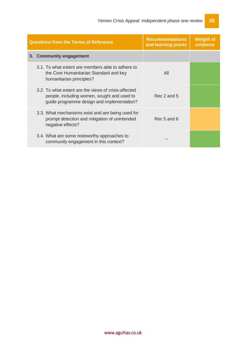| <b>Questions from the Terms of Reference</b> |                                                                                                                                                   | <b>Recommendations</b><br>and learning points | <b>Weight of</b><br>evidence |
|----------------------------------------------|---------------------------------------------------------------------------------------------------------------------------------------------------|-----------------------------------------------|------------------------------|
|                                              | 3. Community engagement                                                                                                                           |                                               |                              |
|                                              | 3.1. To what extent are members able to adhere to<br>the Core Humanitarian Standard and key<br>humanitarian principles?                           | All                                           |                              |
|                                              | 3.2. To what extent are the views of crisis-affected<br>people, including women, sought and used to<br>guide programme design and implementation? | Rec 2 and 5                                   |                              |
|                                              | 3.3. What mechanisms exist and are being used for<br>prompt detection and mitigation of unintended<br>negative effects?                           | Rec 5 and 6                                   |                              |
|                                              | 3.4. What are some noteworthy approaches to<br>community engagement in this context?                                                              |                                               |                              |